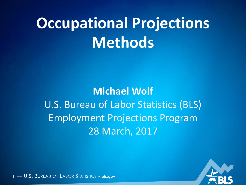# **Occupational Projections Methods**

**Michael Wolf** U.S. Bureau of Labor Statistics (BLS) Employment Projections Program 28 March, 2017

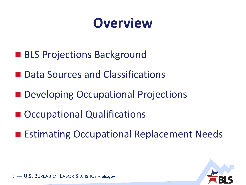## **Overview**

- BLS Projections Background
- Data Sources and Classifications
- **Developing Occupational Projections**
- Occupational Qualifications
- **Extimating Occupational Replacement Needs**

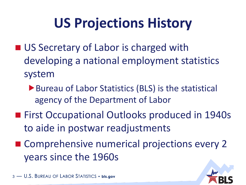# **US Projections History**

- US Secretary of Labor is charged with developing a national employment statistics system
	- ▶ Bureau of Labor Statistics (BLS) is the statistical agency of the Department of Labor
- **First Occupational Outlooks produced in 1940s** to aide in postwar readjustments
- Comprehensive numerical projections every 2 years since the 1960s

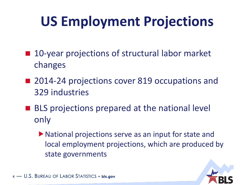# **US Employment Projections**

- 10-year projections of structural labor market changes
- 2014-24 projections cover 819 occupations and 329 industries
- **BLS** projections prepared at the national level only
	- National projections serve as an input for state and local employment projections, which are produced by state governments

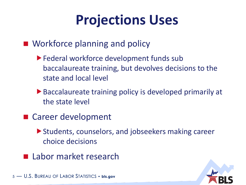# **Projections Uses**

**Workforce planning and policy** 

- Federal workforce development funds sub baccalaureate training, but devolves decisions to the state and local level
- ▶ Baccalaureate training policy is developed primarily at the state level
- Career development
	- ▶ Students, counselors, and jobseekers making career choice decisions
- **Labor market research**

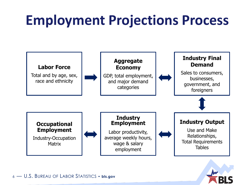# **Employment Projections Process**



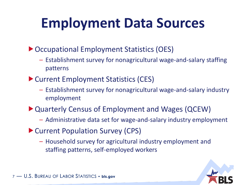# **Employment Data Sources**

▶ Occupational Employment Statistics (OES)

- Establishment survey for nonagricultural wage-and-salary staffing patterns
- ▶ Current Employment Statistics (CES)
	- Establishment survey for nonagricultural wage-and-salary industry employment
- Quarterly Census of Employment and Wages (QCEW)
	- Administrative data set for wage-and-salary industry employment
- Current Population Survey (CPS)
	- Household survey for agricultural industry employment and staffing patterns, self-employed workers

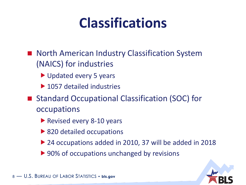# **Classifications**

- North American Industry Classification System (NAICS) for industries
	- Updated every 5 years
	- ▶ 1057 detailed industries
- Standard Occupational Classification (SOC) for occupations
	- Revised every 8-10 years
	- ▶ 820 detailed occupations
	- ▶ 24 occupations added in 2010, 37 will be added in 2018
	- ▶ 90% of occupations unchanged by revisions

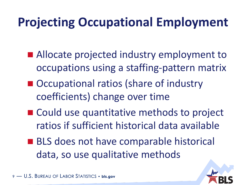## **Projecting Occupational Employment**

- Allocate projected industry employment to occupations using a staffing-pattern matrix
- Occupational ratios (share of industry coefficients) change over time
- Could use quantitative methods to project ratios if sufficient historical data available
- **BLS** does not have comparable historical data, so use qualitative methods

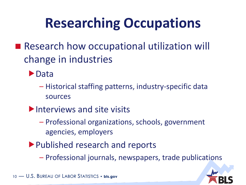# **Researching Occupations**

- Research how occupational utilization will change in industries
	- **Data** 
		- Historical staffing patterns, industry-specific data sources
	- Interviews and site visits
		- Professional organizations, schools, government agencies, employers
	- Published research and reports
		- Professional journals, newspapers, trade publications

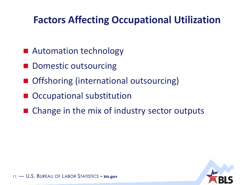#### **Factors Affecting Occupational Utilization**

- Automation technology
- Domestic outsourcing
- Offshoring (international outsourcing)
- Occupational substitution
- Change in the mix of industry sector outputs

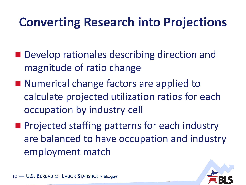## **Converting Research into Projections**

- Develop rationales describing direction and magnitude of ratio change
- Numerical change factors are applied to calculate projected utilization ratios for each occupation by industry cell
- **Projected staffing patterns for each industry** are balanced to have occupation and industry employment match

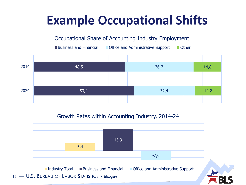## **Example Occupational Shifts**



#### Growth Rates within Accounting Industry, 2014-24

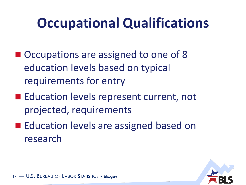# **Occupational Qualifications**

- Occupations are assigned to one of 8 education levels based on typical requirements for entry
- Education levels represent current, not projected, requirements
- **Education levels are assigned based on** research

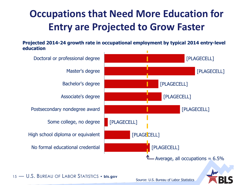#### **Occupations that Need More Education for Entry are Projected to Grow Faster**

**Projected 2014-24 growth rate in occupational employment by typical 2014 entry-level education**





15 — U.S. BUREAU OF LABOR STATISTICS • **bls.gov**

Source: U.S. Bureau of Labor Statistics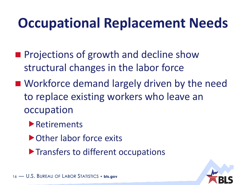# **Occupational Replacement Needs**

- **Projections of growth and decline show** structural changes in the labor force
- Workforce demand largely driven by the need to replace existing workers who leave an occupation
	- **Retirements**
	- ▶ Other labor force exits
	- **Transfers to different occupations**

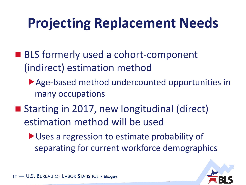# **Projecting Replacement Needs**

- BLS formerly used a cohort-component (indirect) estimation method
	- Age-based method undercounted opportunities in many occupations
- Starting in 2017, new longitudinal (direct) estimation method will be used
	- Uses a regression to estimate probability of separating for current workforce demographics

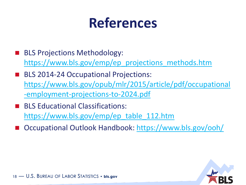## **References**

- BLS Projections Methodology: [https://www.bls.gov/emp/ep\\_projections\\_methods.htm](https://www.bls.gov/emp/ep_projections_methods.htm)
- BLS 2014-24 Occupational Projections: [https://www.bls.gov/opub/mlr/2015/article/pdf/occupational](https://www.bls.gov/opub/mlr/2015/article/pdf/occupational-employment-projections-to-2024.pdf) [-employment-projections-to-2024.pdf](https://www.bls.gov/opub/mlr/2015/article/pdf/occupational-employment-projections-to-2024.pdf)
- BLS Educational Classifications: [https://www.bls.gov/emp/ep\\_table\\_112.htm](https://www.bls.gov/emp/ep_table_112.htm)
- Occupational Outlook Handbook: <https://www.bls.gov/ooh/>

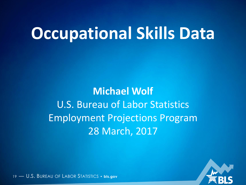# **Occupational Skills Data**

**Michael Wolf** U.S. Bureau of Labor Statistics Employment Projections Program 28 March, 2017

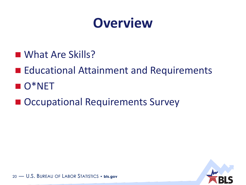

- What Are Skills?
- **Educational Attainment and Requirements**
- **O**\*NET
- Occupational Requirements Survey

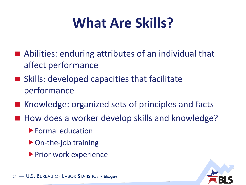# **What Are Skills?**

- Abilities: enduring attributes of an individual that affect performance
- Skills: developed capacities that facilitate performance
- Knowledge: organized sets of principles and facts
- How does a worker develop skills and knowledge?
	- Formal education
	- ▶ On-the-job training
	- **Prior work experience**

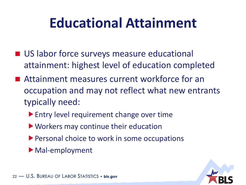# **Educational Attainment**

- **US labor force surveys measure educational** attainment: highest level of education completed
- Attainment measures current workforce for an occupation and may not reflect what new entrants typically need:
	- **Entry level requirement change over time**
	- ▶ Workers may continue their education
	- **Personal choice to work in some occupations**
	- Mal-employment

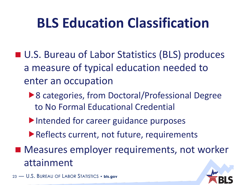# **BLS Education Classification**

- U.S. Bureau of Labor Statistics (BLS) produces a measure of typical education needed to enter an occupation
	- ▶ 8 categories, from Doctoral/Professional Degree to No Formal Educational Credential
	- Intended for career guidance purposes
	- Reflects current, not future, requirements
- **Measures employer requirements, not worker** attainment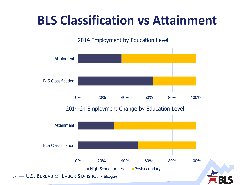## **BLS Classification vs Attainment**

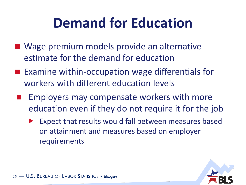# **Demand for Education**

- Wage premium models provide an alternative estimate for the demand for education
- Examine within-occupation wage differentials for workers with different education levels
- Employers may compensate workers with more education even if they do not require it for the job
	- Expect that results would fall between measures based on attainment and measures based on employer requirements

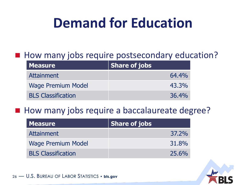# **Demand for Education**

#### How many jobs require postsecondary education?

| <b>Measure</b>            | <b>Share of jobs</b> |
|---------------------------|----------------------|
| <b>Attainment</b>         | 64.4%                |
| <b>Wage Premium Model</b> | 43.3%                |
| <b>BLS Classification</b> | 36.4%                |

#### How many jobs require a baccalaureate degree?

| <b>Measure</b>            | <b>Share of jobs</b> |
|---------------------------|----------------------|
| <b>Attainment</b>         | 37.2%                |
| <b>Wage Premium Model</b> | 31.8%                |
| <b>BLS Classification</b> | 25.6%                |

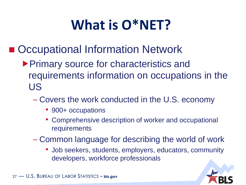# **What is O\*NET?**

- Occupational Information Network
	- ▶ Primary source for characteristics and requirements information on occupations in the US
		- Covers the work conducted in the U.S. economy
			- 900+ occupations
			- Comprehensive description of worker and occupational requirements
		- Common language for describing the world of work
			- Job seekers, students, employers, educators, community developers, workforce professionals

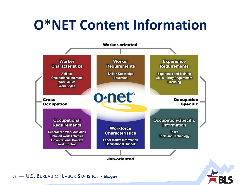# **O\*NET Content Information**

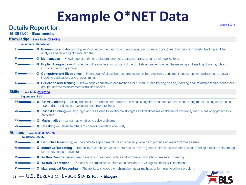# **Example O\*NET Data**<br>Details Report for:

Updated 2016

**EBLS** 

#### 19-3011.00 - Economists

|        |                                    | Knowledge Save Table (XLS/CSV)                                                                                                                                                                                          |
|--------|------------------------------------|-------------------------------------------------------------------------------------------------------------------------------------------------------------------------------------------------------------------------|
|        | <b>Importance Knowledge</b>        |                                                                                                                                                                                                                         |
|        |                                    | 93 <b>CECONOMICS and Accounting</b> - Knowledge of economic and accounting principles and practices, the financial markets, banking and the<br>analysis and reporting of financial data.                                |
|        |                                    | 90 <b>C Mathematics</b> - Knowledge of arithmetic, algebra, geometry, calculus, statistics, and their applications.                                                                                                     |
| $71 -$ |                                    | <b>C English Language</b> — Knowledge of the structure and content of the English language including the meaning and spelling of words, rules of<br>composition, and grammar.                                           |
|        |                                    | 53 <b>Computers and Electronics</b> - Knowledge of circuit boards, processors, chips, electronic equipment, and computer hardware and software,<br>including applications and programming.                              |
| 52 ∎   |                                    | <b>G</b> Education and Training — Knowledge of principles and methods for curriculum and training design, teaching and instruction for individuals and<br>groups, and the measurement of training effects.              |
|        | <b>Skills</b> Save Table (XLS/CSV) |                                                                                                                                                                                                                         |
|        | <b>Importance Skill</b>            |                                                                                                                                                                                                                         |
|        |                                    | 75 <b>C Active Listening</b> — Giving full attention to what other people are saying, taking time to understand the points being made, asking questions as<br>appropriate, and not interrupting at inappropriate times. |
|        |                                    | 75 <b>C</b> Critical Thinking — Using logic and reasoning to identify the strengths and weaknesses of alternative solutions, conclusions or approaches to<br>problems.                                                  |
|        |                                    | 75 <b>C Mathematics</b> - Using mathematics to solve problems.                                                                                                                                                          |
|        |                                    | 75 <b>C Speaking</b> - Talking to others to convey information effectively.                                                                                                                                             |
|        |                                    | <b>Abilities</b> Save Table (XLS/CSV)                                                                                                                                                                                   |
|        | <b>Importance Ability</b>          |                                                                                                                                                                                                                         |
|        |                                    | 75 <b>C Deductive Reasoning</b> — The ability to apply general rules to specific problems to produce answers that make sense.                                                                                           |
|        |                                    | 75 <b>C</b> Inductive Reasoning - The ability to combine pieces of information to form general rules or conclusions (includes finding a relationship among<br>seemingly unrelated events).                              |
|        |                                    | 75 <b>C</b> Written Comprehension — The ability to read and understand information and ideas presented in writing.                                                                                                      |
|        |                                    | 75 <b>C</b> Written Expression — The ability to communicate information and ideas in writing so others will understand.                                                                                                 |
|        |                                    | 72 <b>C Mathematical Reasoning</b> — The ability to choose the right mathematical methods or formulas to solve a problem.                                                                                               |
|        |                                    | 29 - U.S. BUREAU OF LABOR STATISTICS • bls.gov                                                                                                                                                                          |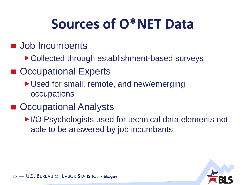# **Sources of O\*NET Data**

#### **Job Incumbents**

- ▶ Collected through establishment-based surveys
- Occupational Experts
	- ▶ Used for small, remote, and new/emerging **occupations**

#### ■ Occupational Analysts

▶I/O Psychologists used for technical data elements not able to be answered by job incumbants

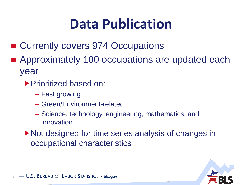# **Data Publication**

- Currently covers 974 Occupations
- Approximately 100 occupations are updated each year
	- ▶ Prioritized based on:
		- Fast growing
		- Green/Environment-related
		- Science, technology, engineering, mathematics, and innovation
	- ▶ Not designed for time series analysis of changes in occupational characteristics

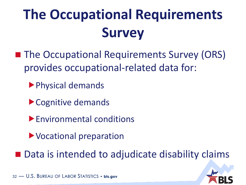# **The Occupational Requirements Survey**

- **The Occupational Requirements Survey (ORS)** provides occupational-related data for:
	- Physical demands
	- ▶ Cognitive demands
	- Environmental conditions
	- Vocational preparation
- Data is intended to adjudicate disability claims

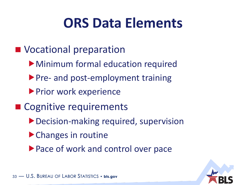## **ORS Data Elements**

- **Nocational preparation** 
	- Minimum formal education required
	- Pre- and post-employment training
	- **Prior work experience**
- Cognitive requirements
	- ▶ Decision-making required, supervision
	- ▶ Changes in routine
	- ▶ Pace of work and control over pace

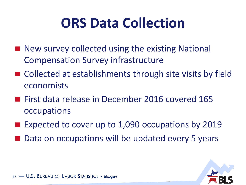# **ORS Data Collection**

- New survey collected using the existing National Compensation Survey infrastructure
- Collected at establishments through site visits by field economists
- **First data release in December 2016 covered 165** occupations
- **Expected to cover up to 1,090 occupations by 2019**
- Data on occupations will be updated every 5 years

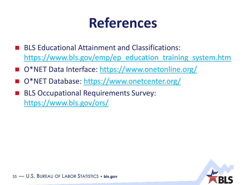## **References**

- BLS Educational Attainment and Classifications: [https://www.bls.gov/emp/ep\\_education\\_training\\_system.htm](https://www.bls.gov/emp/ep_education_training_system.htm)
- O\*NET Data Interface:<https://www.onetonline.org/>
- O\*NET Database:<https://www.onetcenter.org/>
- BLS Occupational Requirements Survey: <https://www.bls.gov/ors/>